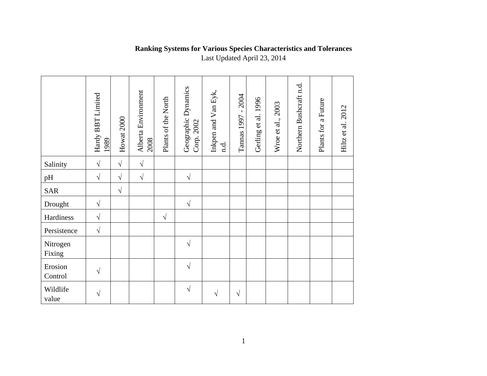## **Ranking Systems for Various Species Characteristics and Tolerances**

Last Updated April 23, 2014

|                    | Hardy BBT Limited<br>1989 | Howat 2000 | Alberta Environment<br>2008 | Plants of the North | Geographic Dynamics<br>Corp. 2002 | Inkpen and Van Eyk,<br>n.d. | 2004<br>$\blacksquare$<br>Tannas 1997 | Gerling et al. 1996 | 2003<br>Wroe et al., | Northern Bushcraft n.d. | Plants for a Future | Hiltz et al. 2012 |
|--------------------|---------------------------|------------|-----------------------------|---------------------|-----------------------------------|-----------------------------|---------------------------------------|---------------------|----------------------|-------------------------|---------------------|-------------------|
| Salinity           | $\sqrt{ }$                | $\sqrt{ }$ | $\sqrt{}$                   |                     |                                   |                             |                                       |                     |                      |                         |                     |                   |
| pH                 | $\sqrt{ }$                | $\sqrt{ }$ | $\sqrt{}$                   |                     | $\sqrt{2}$                        |                             |                                       |                     |                      |                         |                     |                   |
| <b>SAR</b>         |                           | $\sqrt{ }$ |                             |                     |                                   |                             |                                       |                     |                      |                         |                     |                   |
| Drought            | $\sqrt{ }$                |            |                             |                     | $\sqrt{}$                         |                             |                                       |                     |                      |                         |                     |                   |
| Hardiness          | $\sqrt{ }$                |            |                             | $\sqrt{ }$          |                                   |                             |                                       |                     |                      |                         |                     |                   |
| Persistence        | $\sqrt{ }$                |            |                             |                     |                                   |                             |                                       |                     |                      |                         |                     |                   |
| Nitrogen<br>Fixing |                           |            |                             |                     | $\sqrt{}$                         |                             |                                       |                     |                      |                         |                     |                   |
| Erosion<br>Control | $\sqrt{}$                 |            |                             |                     | $\sqrt{}$                         |                             |                                       |                     |                      |                         |                     |                   |
| Wildlife<br>value  | $\sqrt{}$                 |            |                             |                     | $\sqrt{}$                         | $\sqrt{}$                   | V                                     |                     |                      |                         |                     |                   |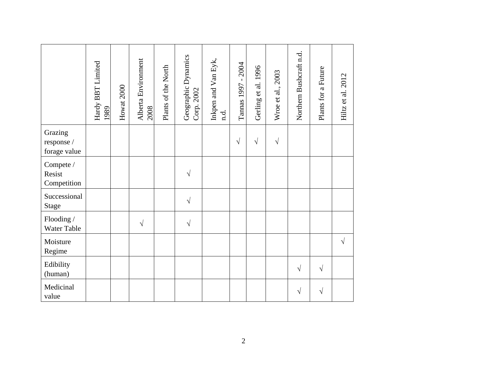|                                       | Hardy BBT Limited<br>1989 | Howat 2000 | Alberta Environment<br>2008 | Plants of the North | Geographic Dynamics<br>Corp. 2002 | Inkpen and Van Eyk,<br>n.d. | 2004<br>$\mathbf{I}$<br>Tannas 1997 | Gerling et al. 1996 | Wroe et al., 2003 | Northern Bushcraft n.d. | Plants for a Future | Hiltz et al. 2012 |
|---------------------------------------|---------------------------|------------|-----------------------------|---------------------|-----------------------------------|-----------------------------|-------------------------------------|---------------------|-------------------|-------------------------|---------------------|-------------------|
| Grazing<br>response /<br>forage value |                           |            |                             |                     |                                   |                             | $\sqrt{}$                           | $\sqrt{ }$          | $\sqrt{}$         |                         |                     |                   |
| Compete /<br>Resist<br>Competition    |                           |            |                             |                     | V                                 |                             |                                     |                     |                   |                         |                     |                   |
| Successional<br><b>Stage</b>          |                           |            |                             |                     | $\sqrt{}$                         |                             |                                     |                     |                   |                         |                     |                   |
| Flooding /<br>Water Table             |                           |            | $\sqrt{ }$                  |                     | $\sqrt{}$                         |                             |                                     |                     |                   |                         |                     |                   |
| Moisture<br>Regime                    |                           |            |                             |                     |                                   |                             |                                     |                     |                   |                         |                     | $\sqrt{ }$        |
| Edibility<br>(human)                  |                           |            |                             |                     |                                   |                             |                                     |                     |                   | $\sqrt{}$               | $\sqrt{ }$          |                   |
| Medicinal<br>value                    |                           |            |                             |                     |                                   |                             |                                     |                     |                   | V                       | $\sqrt{}$           |                   |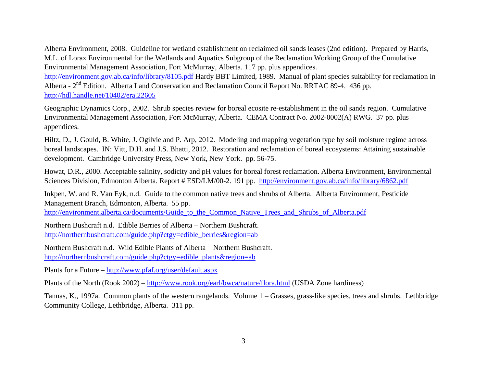Alberta Environment, 2008. Guideline for wetland establishment on reclaimed oil sands leases (2nd edition). Prepared by Harris, M.L. of Lorax Environmental for the Wetlands and Aquatics Subgroup of the Reclamation Working Group of the Cumulative Environmental Management Association, Fort McMurray, Alberta. 117 pp. plus appendices.

<http://environment.gov.ab.ca/info/library/8105.pdf> Hardy BBT Limited, 1989. Manual of plant species suitability for reclamation in Alberta - 2<sup>nd</sup> Edition. Alberta Land Conservation and Reclamation Council Report No. RRTAC 89-4. 436 pp. <http://hdl.handle.net/10402/era.22605>

Geographic Dynamics Corp., 2002. Shrub species review for boreal ecosite re-establishment in the oil sands region. Cumulative Environmental Management Association, Fort McMurray, Alberta. CEMA Contract No. 2002-0002(A) RWG. 37 pp. plus appendices.

Hiltz, D., J. Gould, B. White, J. Ogilvie and P. Arp, 2012. Modeling and mapping vegetation type by soil moisture regime across boreal landscapes. IN: Vitt, D.H. and J.S. Bhatti, 2012. Restoration and reclamation of boreal ecosystems: Attaining sustainable development. Cambridge University Press, New York, New York. pp. 56-75.

Howat, D.R., 2000. Acceptable salinity, sodicity and pH values for boreal forest reclamation. Alberta Environment, Environmental Sciences Division, Edmonton Alberta. Report # ESD/LM/00-2. 191 pp. <http://environment.gov.ab.ca/info/library/6862.pdf>

Inkpen, W. and R. Van Eyk, n.d. Guide to the common native trees and shrubs of Alberta. Alberta Environment, Pesticide Management Branch, Edmonton, Alberta. 55 pp.

[http://environment.alberta.ca/documents/Guide\\_to\\_the\\_Common\\_Native\\_Trees\\_and\\_Shrubs\\_of\\_Alberta.pdf](http://environment.alberta.ca/documents/Guide_to_the_Common_Native_Trees_and_Shrubs_of_Alberta.pdf)

Northern Bushcraft n.d. Edible Berries of Alberta – Northern Bushcraft. [http://northernbushcraft.com/guide.php?ctgy=edible\\_berries&region=ab](http://northernbushcraft.com/guide.php?ctgy=edible_berries®ion=ab)

Northern Bushcraft n.d. Wild Edible Plants of Alberta – Northern Bushcraft. [http://northernbushcraft.com/guide.php?ctgy=edible\\_plants&region=ab](http://northernbushcraft.com/guide.php?ctgy=edible_plants®ion=ab)

Plants for a Future – <http://www.pfaf.org/user/default.aspx>

Plants of the North (Rook 2002) – <http://www.rook.org/earl/bwca/nature/flora.html> (USDA Zone hardiness)

Tannas, K., 1997a. Common plants of the western rangelands. Volume 1 – Grasses, grass-like species, trees and shrubs. Lethbridge Community College, Lethbridge, Alberta. 311 pp.